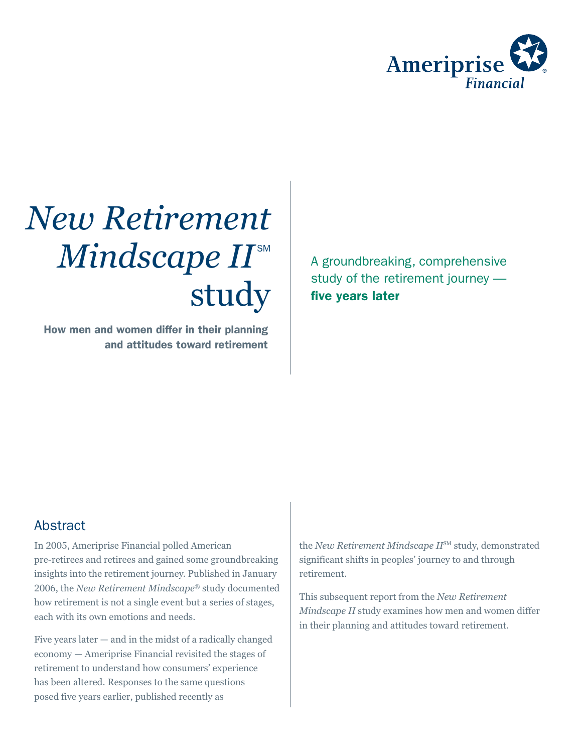

# *New Retirement*   $Mindscope$   $I\!I^{\text{\tiny{SM}}}$ study

How men and women differ in their planning and attitudes toward retirement A groundbreaking, comprehensive study of the retirement journey five years later

### Abstract

In 2005, Ameriprise Financial polled American pre-retirees and retirees and gained some groundbreaking insights into the retirement journey. Published in January 2006, the *New Retirement Mindscape*® study documented how retirement is not a single event but a series of stages, each with its own emotions and needs.

Five years later — and in the midst of a radically changed economy — Ameriprise Financial revisited the stages of retirement to understand how consumers' experience has been altered. Responses to the same questions posed five years earlier, published recently as

the *New Retirement Mindscape II*SM study, demonstrated significant shifts in peoples' journey to and through retirement.

This subsequent report from the *New Retirement Mindscape II* study examines how men and women differ in their planning and attitudes toward retirement.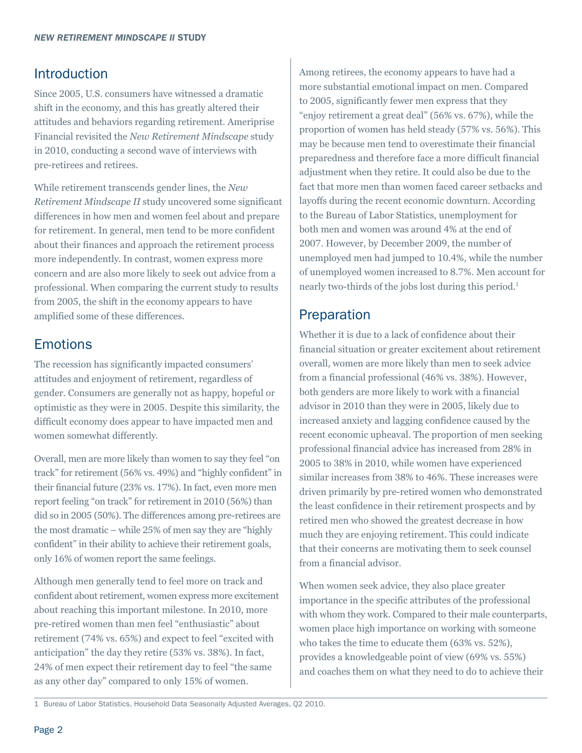#### Introduction

Since 2005, U.S. consumers have witnessed a dramatic shift in the economy, and this has greatly altered their attitudes and behaviors regarding retirement. Ameriprise Financial revisited the *New Retirement Mindscape* study in 2010, conducting a second wave of interviews with pre-retirees and retirees.

While retirement transcends gender lines, the *New Retirement Mindscape II* study uncovered some significant differences in how men and women feel about and prepare for retirement. In general, men tend to be more confident about their finances and approach the retirement process more independently. In contrast, women express more concern and are also more likely to seek out advice from a professional. When comparing the current study to results from 2005, the shift in the economy appears to have amplified some of these differences.

# **Emotions**

The recession has significantly impacted consumers' attitudes and enjoyment of retirement, regardless of gender. Consumers are generally not as happy, hopeful or optimistic as they were in 2005. Despite this similarity, the difficult economy does appear to have impacted men and women somewhat differently.

Overall, men are more likely than women to say they feel "on track" for retirement (56% vs. 49%) and "highly confident" in their financial future (23% vs. 17%). In fact, even more men report feeling "on track" for retirement in 2010 (56%) than did so in 2005 (50%). The differences among pre-retirees are the most dramatic – while 25% of men say they are "highly confident" in their ability to achieve their retirement goals, only 16% of women report the same feelings.

Although men generally tend to feel more on track and confident about retirement, women express more excitement about reaching this important milestone. In 2010, more pre-retired women than men feel "enthusiastic" about retirement (74% vs. 65%) and expect to feel "excited with anticipation" the day they retire (53% vs. 38%). In fact, 24% of men expect their retirement day to feel "the same as any other day" compared to only 15% of women.

Among retirees, the economy appears to have had a more substantial emotional impact on men. Compared to 2005, significantly fewer men express that they "enjoy retirement a great deal" (56% vs. 67%), while the proportion of women has held steady (57% vs. 56%). This may be because men tend to overestimate their financial preparedness and therefore face a more difficult financial adjustment when they retire. It could also be due to the fact that more men than women faced career setbacks and layoffs during the recent economic downturn. According to the Bureau of Labor Statistics, unemployment for both men and women was around 4% at the end of 2007. However, by December 2009, the number of unemployed men had jumped to 10.4%, while the number of unemployed women increased to 8.7%. Men account for nearly two-thirds of the jobs lost during this period.<sup>1</sup>

# **Preparation**

Whether it is due to a lack of confidence about their financial situation or greater excitement about retirement overall, women are more likely than men to seek advice from a financial professional (46% vs. 38%). However, both genders are more likely to work with a financial advisor in 2010 than they were in 2005, likely due to increased anxiety and lagging confidence caused by the recent economic upheaval. The proportion of men seeking professional financial advice has increased from 28% in 2005 to 38% in 2010, while women have experienced similar increases from 38% to 46%. These increases were driven primarily by pre-retired women who demonstrated the least confidence in their retirement prospects and by retired men who showed the greatest decrease in how much they are enjoying retirement. This could indicate that their concerns are motivating them to seek counsel from a financial advisor.

When women seek advice, they also place greater importance in the specific attributes of the professional with whom they work. Compared to their male counterparts, women place high importance on working with someone who takes the time to educate them (63% vs. 52%), provides a knowledgeable point of view (69% vs. 55%) and coaches them on what they need to do to achieve their

<sup>1</sup> Bureau of Labor Statistics, Household Data Seasonally Adjusted Averages, Q2 2010.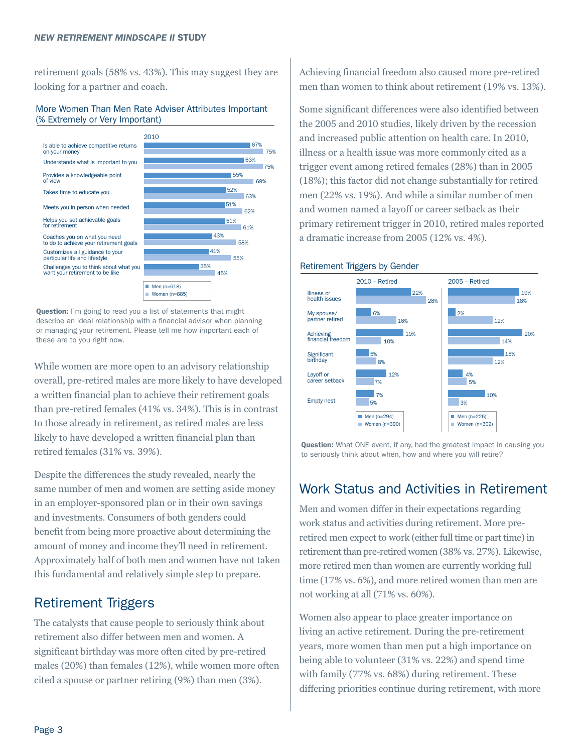retirement goals (58% vs. 43%). This may suggest they are looking for a partner and coach.

#### More Women Than Men Rate Adviser Attributes Important (% Extremely or Very Important)



**Question:** I'm going to read you a list of statements that might describe an ideal relationship with a financial advisor when planning or managing your retirement. Please tell me how important each of these are to you right now.

While women are more open to an advisory relationship overall, pre-retired males are more likely to have developed a written financial plan to achieve their retirement goals than pre-retired females (41% vs. 34%). This is in contrast to those already in retirement, as retired males are less likely to have developed a written financial plan than retired females (31% vs. 39%).

Despite the differences the study revealed, nearly the same number of men and women are setting aside money in an employer-sponsored plan or in their own savings and investments. Consumers of both genders could benefit from being more proactive about determining the amount of money and income they'll need in retirement. Approximately half of both men and women have not taken this fundamental and relatively simple step to prepare.

### Retirement Triggers

The catalysts that cause people to seriously think about retirement also differ between men and women. A significant birthday was more often cited by pre-retired males (20%) than females (12%), while women more often cited a spouse or partner retiring (9%) than men (3%).

Achieving financial freedom also caused more pre-retired men than women to think about retirement (19% vs. 13%).

Some significant differences were also identified between the 2005 and 2010 studies, likely driven by the recession and increased public attention on health care. In 2010, illness or a health issue was more commonly cited as a trigger event among retired females (28%) than in 2005 (18%); this factor did not change substantially for retired men (22% vs. 19%). And while a similar number of men and women named a layoff or career setback as their primary retirement trigger in 2010, retired males reported a dramatic increase from 2005 (12% vs. 4%).



**Question:** What ONE event, if any, had the greatest impact in causing you to seriously think about when, how and where you will retire?

### Work Status and Activities in Retirement

Men and women differ in their expectations regarding work status and activities during retirement. More preretired men expect to work (either full time or part time) in retirement than pre-retired women (38% vs. 27%). Likewise, more retired men than women are currently working full time (17% vs. 6%), and more retired women than men are not working at all (71% vs. 60%).

Women also appear to place greater importance on living an active retirement. During the pre-retirement years, more women than men put a high importance on being able to volunteer (31% vs. 22%) and spend time with family (77% vs. 68%) during retirement. These differing priorities continue during retirement, with more